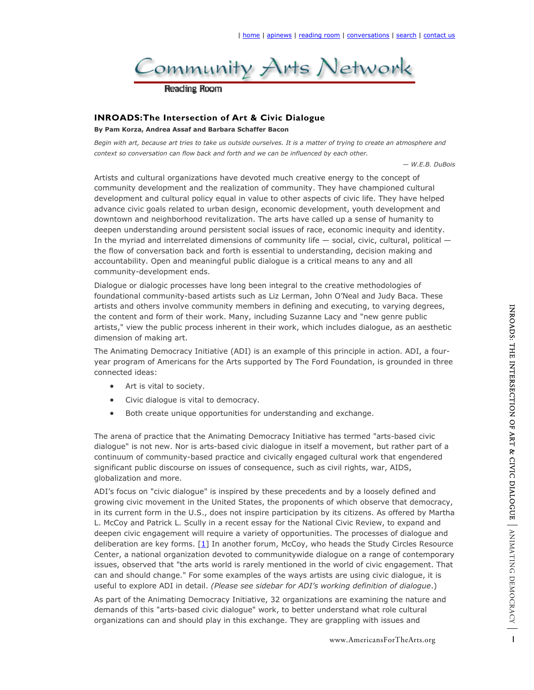

## **INROADS:The Intersection of Art & Civic Dialogue**

**By Pam Korza, Andrea Assaf and Barbara Schaffer Bacon** 

*Begin with art, because art tries to take us outside ourselves. It is a matter of trying to create an atmosphere and context so conversation can flow back and forth and we can be influenced by each other.*

*— W.E.B. DuBois*

Artists and cultural organizations have devoted much creative energy to the concept of community development and the realization of community. They have championed cultural development and cultural policy equal in value to other aspects of civic life. They have helped advance civic goals related to urban design, economic development, youth development and downtown and neighborhood revitalization. The arts have called up a sense of humanity to deepen understanding around persistent social issues of race, economic inequity and identity. In the myriad and interrelated dimensions of community life — social, civic, cultural, political the flow of conversation back and forth is essential to understanding, decision making and accountability. Open and meaningful public dialogue is a critical means to any and all community-development ends.

Dialogue or dialogic processes have long been integral to the creative methodologies of foundational community-based artists such as Liz Lerman, John O'Neal and Judy Baca. These artists and others involve community members in defining and executing, to varying degrees, the content and form of their work. Many, including Suzanne Lacy and "new genre public artists," view the public process inherent in their work, which includes dialogue, as an aesthetic dimension of making art.

The Animating Democracy Initiative (ADI) is an example of this principle in action. ADI, a fouryear program of Americans for the Arts supported by The Ford Foundation, is grounded in three connected ideas:

- Art is vital to society.
- Civic dialogue is vital to democracy.
- Both create unique opportunities for understanding and exchange.

The arena of practice that the Animating Democracy Initiative has termed "arts-based civic dialogue" is not new. Nor is arts-based civic dialogue in itself a movement, but rather part of a continuum of community-based practice and civically engaged cultural work that engendered significant public discourse on issues of consequence, such as civil rights, war, AIDS, globalization and more.

executing, to varying degrees,<br>acy and "new genre public<br>cludes dialogue, as an aesthetic<br>sprinciple in action. ADI, a four-<br>Foundation, is grounded in three<br>dexchange.<br>ans termed "arts-based civic<br>movement, but rather par ADI's focus on "civic dialogue" is inspired by these precedents and by a loosely defined and growing civic movement in the United States, the proponents of which observe that democracy, in its current form in the U.S., does not inspire participation by its citizens. As offered by Martha L. McCoy and Patrick L. Scully in a recent essay for the National Civic Review, to expand and deepen civic engagement will require a variety of opportunities. The processes of dialogue and deliberation are key forms.  $[1]$  In another forum, McCoy, who heads the Study Circles Resource Center, a national organization devoted to communitywide dialogue on a range of contemporary issues, observed that "the arts world is rarely mentioned in the world of civic engagement. That can and should change." For some examples of the ways artists are using civic dialogue, it is useful to explore ADI in detail. *(Please see sidebar for ADI's working definition of dialogue*.)

As part of the Animating Democracy Initiative, 32 organizations are examining the nature and demands of this "arts-based civic dialogue" work, to better understand what role cultural organizations can and should play in this exchange. They are grappling with issues and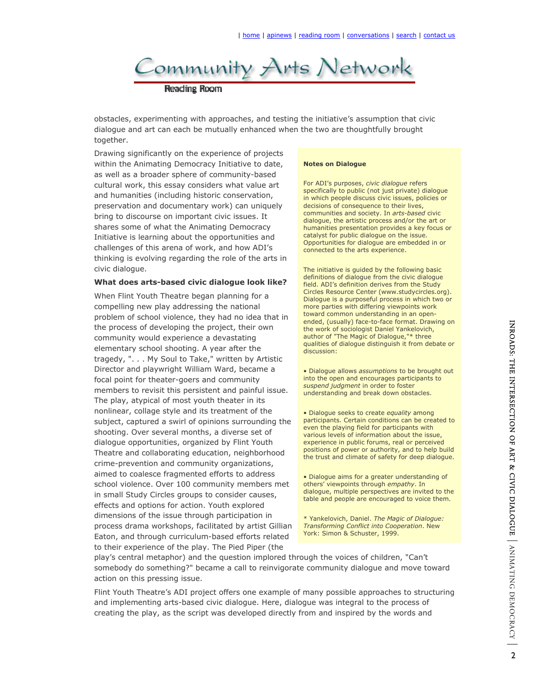

obstacles, experimenting with approaches, and testing the initiative's assumption that civic dialogue and art can each be mutually enhanced when the two are thoughtfully brought together.

Drawing significantly on the experience of projects within the Animating Democracy Initiative to date, as well as a broader sphere of community-based cultural work, this essay considers what value art and humanities (including historic conservation, preservation and documentary work) can uniquely bring to discourse on important civic issues. It shares some of what the Animating Democracy Initiative is learning about the opportunities and challenges of this arena of work, and how ADI's thinking is evolving regarding the role of the arts in civic dialogue.

#### **What does arts-based civic dialogue look like?**

When Flint Youth Theatre began planning for a compelling new play addressing the national problem of school violence, they had no idea that in the process of developing the project, their own community would experience a devastating elementary school shooting. A year after the tragedy, ". . . My Soul to Take," written by Artistic Director and playwright William Ward, became a focal point for theater-goers and community members to revisit this persistent and painful issue. The play, atypical of most youth theater in its nonlinear, collage style and its treatment of the subject, captured a swirl of opinions surrounding the shooting. Over several months, a diverse set of dialogue opportunities, organized by Flint Youth Theatre and collaborating education, neighborhood crime-prevention and community organizations, aimed to coalesce fragmented efforts to address school violence. Over 100 community members met in small Study Circles groups to consider causes, effects and options for action. Youth explored dimensions of the issue through participation in process drama workshops, facilitated by artist Gillian Eaton, and through curriculum-based efforts related to their experience of the play. The Pied Piper (the

#### **Notes on Dialogue**

For ADI's purposes, *civic dialogue* refers specifically to public (not just private) dialogue in which people discuss civic issues, policies or decisions of consequence to their lives, communities and society. In *arts-based* civic dialogue, the artistic process and/or the art or humanities presentation provides a key focus or catalyst for public dialogue on the issue. Opportunities for dialogue are embedded in or connected to the arts experience.

The initiative is guided by the following basic definitions of dialogue from the civic dialogue field. ADI's definition derives from the Study Circles Resource Center (www.studycircles.org). Dialogue is a purposeful process in which two or more parties with differing viewpoints work toward common understanding in an openended, (usually) face-to-face format. Drawing on the work of sociologist Daniel Yankelovich, author of "The Magic of Dialogue,"\* three qualities of dialogue distinguish it from debate or discussion:

• Dialogue allows *assumptions* to be brought out into the open and encourages participants to *suspend judgment* in order to foster understanding and break down obstacles.

• Dialogue seeks to create *equality* among participants. Certain conditions can be created to even the playing field for participants with various levels of information about the issue, experience in public forums, real or perceived positions of power or authority, and to help build the trust and climate of safety for deep dialogue.

• Dialogue aims for a greater understanding of others' viewpoints through *empathy*. In dialogue, multiple perspectives are invited to the table and people are encouraged to voice them.

\* Yankelovich, Daniel. *The Magic of Dialogue: Transforming Conflict into Cooperation*. New York: Simon & Schuster, 1999.

play's central metaphor) and the question implored through the voices of children, "Can't somebody do something?" became a call to reinvigorate community dialogue and move toward action on this pressing issue.

Flint Youth Theatre's ADI project offers one example of many possible approaches to structuring and implementing arts-based civic dialogue. Here, dialogue was integral to the process of creating the play, as the script was developed directly from and inspired by the words and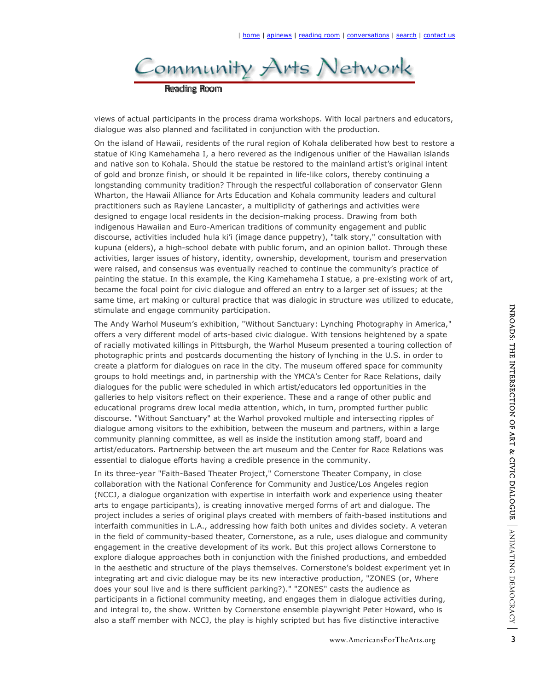

views of actual participants in the process drama workshops. With local partners and educators, dialogue was also planned and facilitated in conjunction with the production.

On the island of Hawaii, residents of the rural region of Kohala deliberated how best to restore a statue of King Kamehameha I, a hero revered as the indigenous unifier of the Hawaiian islands and native son to Kohala. Should the statue be restored to the mainland artist's original intent of gold and bronze finish, or should it be repainted in life-like colors, thereby continuing a longstanding community tradition? Through the respectful collaboration of conservator Glenn Wharton, the Hawaii Alliance for Arts Education and Kohala community leaders and cultural practitioners such as Raylene Lancaster, a multiplicity of gatherings and activities were designed to engage local residents in the decision-making process. Drawing from both indigenous Hawaiian and Euro-American traditions of community engagement and public discourse, activities included hula ki'i (image dance puppetry), "talk story," consultation with kupuna (elders), a high-school debate with public forum, and an opinion ballot. Through these activities, larger issues of history, identity, ownership, development, tourism and preservation were raised, and consensus was eventually reached to continue the community's practice of painting the statue. In this example, the King Kamehameha I statue, a pre-existing work of art, became the focal point for civic dialogue and offered an entry to a larger set of issues; at the same time, art making or cultural practice that was dialogic in structure was utilized to educate, stimulate and engage community participation.

The Andy Warhol Museum's exhibition, "Without Sanctuary: Lynching Photography in America," offers a very different model of arts-based civic dialogue. With tensions heightened by a spate of racially motivated killings in Pittsburgh, the Warhol Museum presented a touring collection of photographic prints and postcards documenting the history of lynching in the U.S. in order to create a platform for dialogues on race in the city. The museum offered space for community groups to hold meetings and, in partnership with the YMCA's Center for Race Relations, daily dialogues for the public were scheduled in which artist/educators led opportunities in the galleries to help visitors reflect on their experience. These and a range of other public and educational programs drew local media attention, which, in turn, prompted further public discourse. "Without Sanctuary" at the Warhol provoked multiple and intersecting ripples of dialogue among visitors to the exhibition, between the museum and partners, within a large community planning committee, as well as inside the institution among staff, board and artist/educators. Partnership between the art museum and the Center for Race Relations was essential to dialogue efforts having a credible presence in the community.

mething Photography in America,"<br>
tensions heightened by a spate<br>
presented a touring collection of<br>
ynching in the U.S. in order to<br>
n offered space for community<br>
enter for Race Relations, daily<br>
a range of other public In its three-year "Faith-Based Theater Project," Cornerstone Theater Company, in close collaboration with the National Conference for Community and Justice/Los Angeles region (NCCJ, a dialogue organization with expertise in interfaith work and experience using theater arts to engage participants), is creating innovative merged forms of art and dialogue. The project includes a series of original plays created with members of faith-based institutions and interfaith communities in L.A., addressing how faith both unites and divides society. A veteran in the field of community-based theater, Cornerstone, as a rule, uses dialogue and community engagement in the creative development of its work. But this project allows Cornerstone to explore dialogue approaches both in conjunction with the finished productions, and embedded in the aesthetic and structure of the plays themselves. Cornerstone's boldest experiment yet in integrating art and civic dialogue may be its new interactive production, "ZONES (or, Where does your soul live and is there sufficient parking?)." "ZONES" casts the audience as participants in a fictional community meeting, and engages them in dialogue activities during, and integral to, the show. Written by Cornerstone ensemble playwright Peter Howard, who is also a staff member with NCCJ, the play is highly scripted but has five distinctive interactive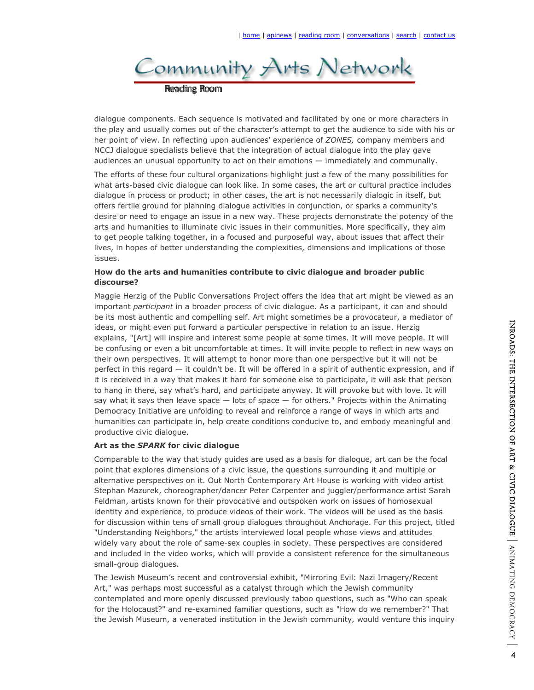

dialogue components. Each sequence is motivated and facilitated by one or more characters in the play and usually comes out of the character's attempt to get the audience to side with his or her point of view. In reflecting upon audiences' experience of *ZONES,* company members and NCCJ dialogue specialists believe that the integration of actual dialogue into the play gave audiences an unusual opportunity to act on their emotions — immediately and communally.

The efforts of these four cultural organizations highlight just a few of the many possibilities for what arts-based civic dialogue can look like. In some cases, the art or cultural practice includes dialogue in process or product; in other cases, the art is not necessarily dialogic in itself, but offers fertile ground for planning dialogue activities in conjunction, or sparks a community's desire or need to engage an issue in a new way. These projects demonstrate the potency of the arts and humanities to illuminate civic issues in their communities. More specifically, they aim to get people talking together, in a focused and purposeful way, about issues that affect their lives, in hopes of better understanding the complexities, dimensions and implications of those issues.

## **How do the arts and humanities contribute to civic dialogue and broader public discourse?**

Maggie Herzig of the Public Conversations Project offers the idea that art might be viewed as an important *participant* in a broader process of civic dialogue. As a participant, it can and should be its most authentic and compelling self. Art might sometimes be a provocateur, a mediator of ideas, or might even put forward a particular perspective in relation to an issue. Herzig explains, "[Art] will inspire and interest some people at some times. It will move people. It will be confusing or even a bit uncomfortable at times. It will invite people to reflect in new ways on their own perspectives. It will attempt to honor more than one perspective but it will not be perfect in this regard — it couldn't be. It will be offered in a spirit of authentic expression, and if it is received in a way that makes it hard for someone else to participate, it will ask that person to hang in there, say what's hard, and participate anyway. It will provoke but with love. It will say what it says then leave space  $-$  lots of space  $-$  for others." Projects within the Animating Democracy Initiative are unfolding to reveal and reinforce a range of ways in which arts and humanities can participate in, help create conditions conducive to, and embody meaningful and productive civic dialogue.

## **Art as the** *SPARK* **for civic dialogue**

Comparable to the way that study guides are used as a basis for dialogue, art can be the focal point that explores dimensions of a civic issue, the questions surrounding it and multiple or alternative perspectives on it. Out North Contemporary Art House is working with video artist Stephan Mazurek, choreographer/dancer Peter Carpenter and juggler/performance artist Sarah Feldman, artists known for their provocative and outspoken work on issues of homosexual identity and experience, to produce videos of their work. The videos will be used as the basis for discussion within tens of small group dialogues throughout Anchorage. For this project, titled "Understanding Neighbors," the artists interviewed local people whose views and attitudes widely vary about the role of same-sex couples in society. These perspectives are considered and included in the video works, which will provide a consistent reference for the simultaneous small-group dialogues.

The Jewish Museum's recent and controversial exhibit, "Mirroring Evil: Nazi Imagery/Recent Art," was perhaps most successful as a catalyst through which the Jewish community contemplated and more openly discussed previously taboo questions, such as "Who can speak for the Holocaust?" and re-examined familiar questions, such as "How do we remember?" That the Jewish Museum, a venerated institution in the Jewish community, would venture this inquiry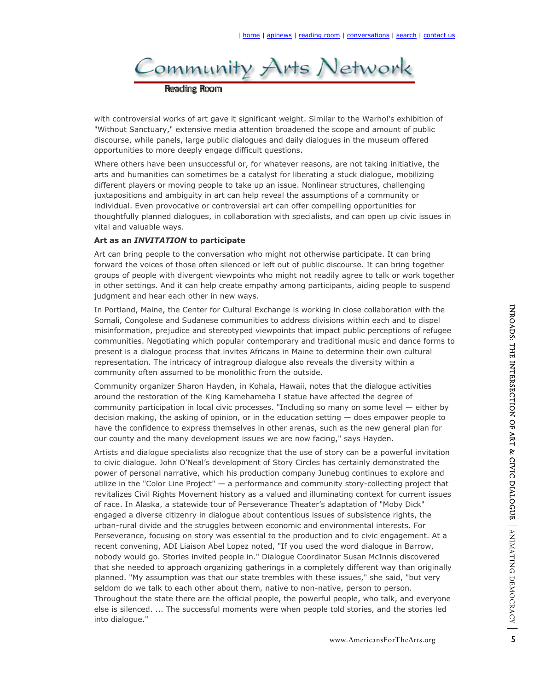

with controversial works of art gave it significant weight. Similar to the Warhol's exhibition of "Without Sanctuary," extensive media attention broadened the scope and amount of public discourse, while panels, large public dialogues and daily dialogues in the museum offered opportunities to more deeply engage difficult questions.

Where others have been unsuccessful or, for whatever reasons, are not taking initiative, the arts and humanities can sometimes be a catalyst for liberating a stuck dialogue, mobilizing different players or moving people to take up an issue. Nonlinear structures, challenging juxtapositions and ambiguity in art can help reveal the assumptions of a community or individual. Even provocative or controversial art can offer compelling opportunities for thoughtfully planned dialogues, in collaboration with specialists, and can open up civic issues in vital and valuable ways.

## **Art as an** *INVITATION* **to participate**

Art can bring people to the conversation who might not otherwise participate. It can bring forward the voices of those often silenced or left out of public discourse. It can bring together groups of people with divergent viewpoints who might not readily agree to talk or work together in other settings. And it can help create empathy among participants, aiding people to suspend judgment and hear each other in new ways.

In Portland, Maine, the Center for Cultural Exchange is working in close collaboration with the Somali, Congolese and Sudanese communities to address divisions within each and to dispel misinformation, prejudice and stereotyped viewpoints that impact public perceptions of refugee communities. Negotiating which popular contemporary and traditional music and dance forms to present is a dialogue process that invites Africans in Maine to determine their own cultural representation. The intricacy of intragroup dialogue also reveals the diversity within a community often assumed to be monolithic from the outside.

Community organizer Sharon Hayden, in Kohala, Hawaii, notes that the dialogue activities around the restoration of the King Kamehameha I statue have affected the degree of community participation in local civic processes. "Including so many on some level — either by decision making, the asking of opinion, or in the education setting — does empower people to have the confidence to express themselves in other arenas, such as the new general plan for our county and the many development issues we are now facing," says Hayden.

pin close collaboration with the<br>ions within each and to dispel<br>act public preceptions of refugee<br>ditional music and dance forms to<br>betermine their own cultural<br>that the dialogue activities<br>affected the degree of<br>many on s Artists and dialogue specialists also recognize that the use of story can be a powerful invitation to civic dialogue. John O'Neal's development of Story Circles has certainly demonstrated the power of personal narrative, which his production company Junebug continues to explore and utilize in the "Color Line Project" — a performance and community story-collecting project that revitalizes Civil Rights Movement history as a valued and illuminating context for current issues of race. In Alaska, a statewide tour of Perseverance Theater's adaptation of "Moby Dick" engaged a diverse citizenry in dialogue about contentious issues of subsistence rights, the urban-rural divide and the struggles between economic and environmental interests. For Perseverance, focusing on story was essential to the production and to civic engagement. At a recent convening, ADI Liaison Abel Lopez noted, "If you used the word dialogue in Barrow, nobody would go. Stories invited people in." Dialogue Coordinator Susan McInnis discovered that she needed to approach organizing gatherings in a completely different way than originally planned. "My assumption was that our state trembles with these issues," she said, "but very seldom do we talk to each other about them, native to non-native, person to person. Throughout the state there are the official people, the powerful people, who talk, and everyone else is silenced. ... The successful moments were when people told stories, and the stories led into dialogue."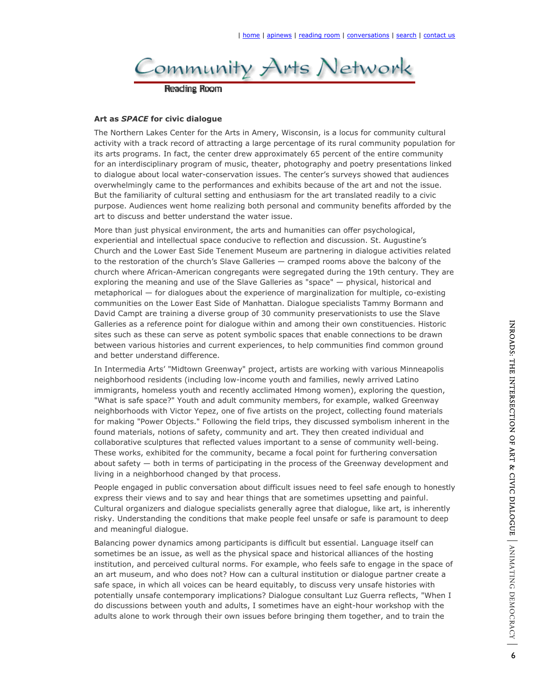

#### **Art as** *SPACE* **for civic dialogue**

The Northern Lakes Center for the Arts in Amery, Wisconsin, is a locus for community cultural activity with a track record of attracting a large percentage of its rural community population for its arts programs. In fact, the center drew approximately 65 percent of the entire community for an interdisciplinary program of music, theater, photography and poetry presentations linked to dialogue about local water-conservation issues. The center's surveys showed that audiences overwhelmingly came to the performances and exhibits because of the art and not the issue. But the familiarity of cultural setting and enthusiasm for the art translated readily to a civic purpose. Audiences went home realizing both personal and community benefits afforded by the art to discuss and better understand the water issue.

More than just physical environment, the arts and humanities can offer psychological, experiential and intellectual space conducive to reflection and discussion. St. Augustine's Church and the Lower East Side Tenement Museum are partnering in dialogue activities related to the restoration of the church's Slave Galleries — cramped rooms above the balcony of the church where African-American congregants were segregated during the 19th century. They are exploring the meaning and use of the Slave Galleries as "space" — physical, historical and metaphorical — for dialogues about the experience of marginalization for multiple, co-existing communities on the Lower East Side of Manhattan. Dialogue specialists Tammy Bormann and David Campt are training a diverse group of 30 community preservationists to use the Slave Galleries as a reference point for dialogue within and among their own constituencies. Historic sites such as these can serve as potent symbolic spaces that enable connections to be drawn between various histories and current experiences, to help communities find common ground and better understand difference.

In Intermedia Arts' "Midtown Greenway" project, artists are working with various Minneapolis neighborhood residents (including low-income youth and families, newly arrived Latino immigrants, homeless youth and recently acclimated Hmong women), exploring the question, "What is safe space?" Youth and adult community members, for example, walked Greenway neighborhoods with Victor Yepez, one of five artists on the project, collecting found materials for making "Power Objects." Following the field trips, they discussed symbolism inherent in the found materials, notions of safety, community and art. They then created individual and collaborative sculptures that reflected values important to a sense of community well-being. These works, exhibited for the community, became a focal point for furthering conversation about safety — both in terms of participating in the process of the Greenway development and living in a neighborhood changed by that process.

People engaged in public conversation about difficult issues need to feel safe enough to honestly express their views and to say and hear things that are sometimes upsetting and painful. Cultural organizers and dialogue specialists generally agree that dialogue, like art, is inherently risky. Understanding the conditions that make people feel unsafe or safe is paramount to deep and meaningful dialogue.

Balancing power dynamics among participants is difficult but essential. Language itself can sometimes be an issue, as well as the physical space and historical alliances of the hosting institution, and perceived cultural norms. For example, who feels safe to engage in the space of an art museum, and who does not? How can a cultural institution or dialogue partner create a safe space, in which all voices can be heard equitably, to discuss very unsafe histories with potentially unsafe contemporary implications? Dialogue consultant Luz Guerra reflects, "When I do discussions between youth and adults, I sometimes have an eight-hour workshop with the adults alone to work through their own issues before bringing them together, and to train the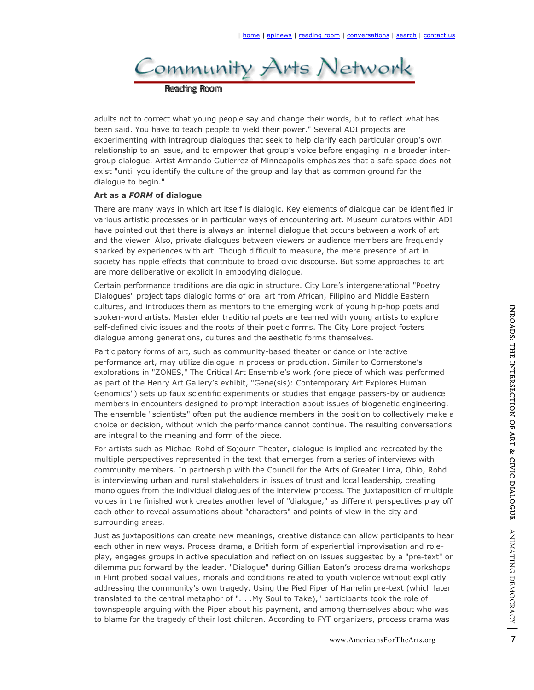

adults not to correct what young people say and change their words, but to reflect what has been said. You have to teach people to yield their power." Several ADI projects are experimenting with intragroup dialogues that seek to help clarify each particular group's own relationship to an issue, and to empower that group's voice before engaging in a broader intergroup dialogue. Artist Armando Gutierrez of Minneapolis emphasizes that a safe space does not exist "until you identify the culture of the group and lay that as common ground for the dialogue to begin."

## **Art as a** *FORM* **of dialogue**

There are many ways in which art itself is dialogic. Key elements of dialogue can be identified in various artistic processes or in particular ways of encountering art. Museum curators within ADI have pointed out that there is always an internal dialogue that occurs between a work of art and the viewer. Also, private dialogues between viewers or audience members are frequently sparked by experiences with art. Though difficult to measure, the mere presence of art in society has ripple effects that contribute to broad civic discourse. But some approaches to art are more deliberative or explicit in embodying dialogue.

Certain performance traditions are dialogic in structure. City Lore's intergenerational "Poetry Dialogues" project taps dialogic forms of oral art from African, Filipino and Middle Eastern cultures, and introduces them as mentors to the emerging work of young hip-hop poets and spoken-word artists. Master elder traditional poets are teamed with young artists to explore self-defined civic issues and the roots of their poetic forms. The City Lore project fosters dialogue among generations, cultures and the aesthetic forms themselves.

Participatory forms of art, such as community-based theater or dance or interactive performance art, may utilize dialogue in process or production. Similar to Cornerstone's explorations in "ZONES," The Critical Art Ensemble's work *(*one piece of which was performed as part of the Henry Art Gallery's exhibit, "Gene(sis): Contemporary Art Explores Human Genomics") sets up faux scientific experiments or studies that engage passers-by or audience members in encounters designed to prompt interaction about issues of biogenetic engineering. The ensemble "scientists" often put the audience members in the position to collectively make a choice or decision, without which the performance cannot continue. The resulting conversations are integral to the meaning and form of the piece.

For artists such as Michael Rohd of Sojourn Theater, dialogue is implied and recreated by the multiple perspectives represented in the text that emerges from a series of interviews with community members. In partnership with the Council for the Arts of Greater Lima, Ohio, Rohd is interviewing urban and rural stakeholders in issues of trust and local leadership, creating monologues from the individual dialogues of the interview process. The juxtaposition of multiple voices in the finished work creates another level of "dialogue," as different perspectives play off each other to reveal assumptions about "characters" and points of view in the city and surrounding areas.

Not young hip-hop poets and<br>with young artists to explore<br>City Lore project fosters<br>themselves.<br>Similar to Cornerstone's<br>piece of which was performed<br>prayed articly explores Human<br>engage passers-by or audience<br>suses of bio Just as juxtapositions can create new meanings, creative distance can allow participants to hear each other in new ways. Process drama, a British form of experiential improvisation and roleplay, engages groups in active speculation and reflection on issues suggested by a "pre-text" or dilemma put forward by the leader. "Dialogue" during Gillian Eaton's process drama workshops in Flint probed social values, morals and conditions related to youth violence without explicitly addressing the community's own tragedy. Using the Pied Piper of Hamelin pre-text (which later translated to the central metaphor of ". . .My Soul to Take)," participants took the role of townspeople arguing with the Piper about his payment, and among themselves about who was to blame for the tragedy of their lost children. According to FYT organizers, process drama was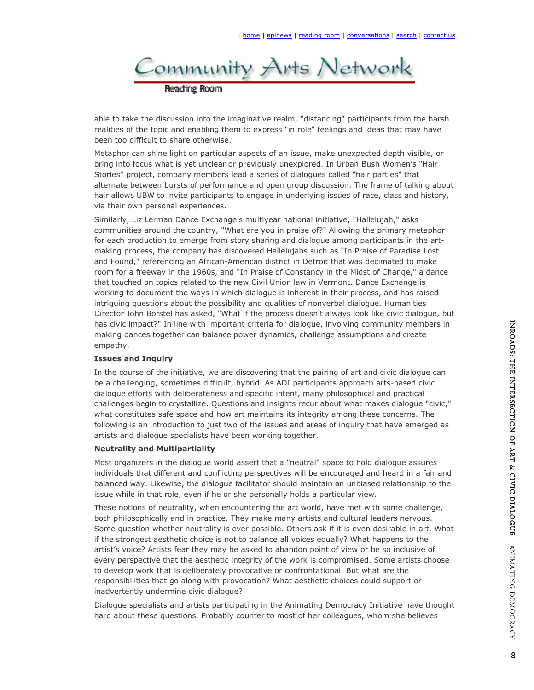

able to take the discussion into the imaginative realm, "distancing" participants from the harsh realities of the topic and enabling them to express "in role" feelings and ideas that may have been too difficult to share otherwise.

Metaphor can shine light on particular aspects of an issue, make unexpected depth visible, or bring into focus what is yet unclear or previously unexplored. In Urban Bush Women's "Hair Stories" project, company members lead a series of dialogues called "hair parties" that alternate between bursts of performance and open group discussion. The frame of talking about hair allows UBW to invite participants to engage in underlying issues of race, class and history, via their own personal experiences.

Similarly, Liz Lerman Dance Exchange's multiyear national initiative, "Hallelujah," asks communities around the country, "What are you in praise of?" Allowing the primary metaphor for each production to emerge from story sharing and dialogue among participants in the artmaking process, the company has discovered Hallelujahs such as "In Praise of Paradise Lost and Found," referencing an African-American district in Detroit that was decimated to make room for a freeway in the 1960s, and "In Praise of Constancy in the Midst of Change," a dance that touched on topics related to the new Civil Union law in Vermont. Dance Exchange is working to document the ways in which dialogue is inherent in their process, and has raised intriguing questions about the possibility and qualities of nonverbal dialogue. Humanities Director John Borstel has asked, "What if the process doesn't always look like civic dialogue, but has civic impact?" In line with important criteria for dialogue, involving community members in making dances together can balance power dynamics, challenge assumptions and create empathy.

## **Issues and Inquiry**

In the course of the initiative, we are discovering that the pairing of art and civic dialogue can be a challenging, sometimes difficult, hybrid. As ADI participants approach arts-based civic dialogue efforts with deliberateness and specific intent, many philosophical and practical challenges begin to crystallize. Questions and insights recur about what makes dialogue "civic," what constitutes safe space and how art maintains its integrity among these concerns. The following is an introduction to just two of the issues and areas of inquiry that have emerged as artists and dialogue specialists have been working together.

## **Neutrality and Multipartiality**

Most organizers in the dialogue world assert that a "neutral" space to hold dialogue assures individuals that different and conflicting perspectives will be encouraged and heard in a fair and balanced way. Likewise, the dialogue facilitator should maintain an unbiased relationship to the issue while in that role, even if he or she personally holds a particular view.

These notions of neutrality, when encountering the art world, have met with some challenge, both philosophically and in practice. They make many artists and cultural leaders nervous. Some question whether neutrality is ever possible. Others ask if it is even desirable in art. What if the strongest aesthetic choice is not to balance all voices equally? What happens to the artist's voice? Artists fear they may be asked to abandon point of view or be so inclusive of every perspective that the aesthetic integrity of the work is compromised. Some artists choose to develop work that is deliberately provocative or confrontational. But what are the responsibilities that go along with provocation? What aesthetic choices could support or inadvertently undermine civic dialogue?

Dialogue specialists and artists participating in the Animating Democracy Initiative have thought hard about these questions. Probably counter to most of her colleagues, whom she believes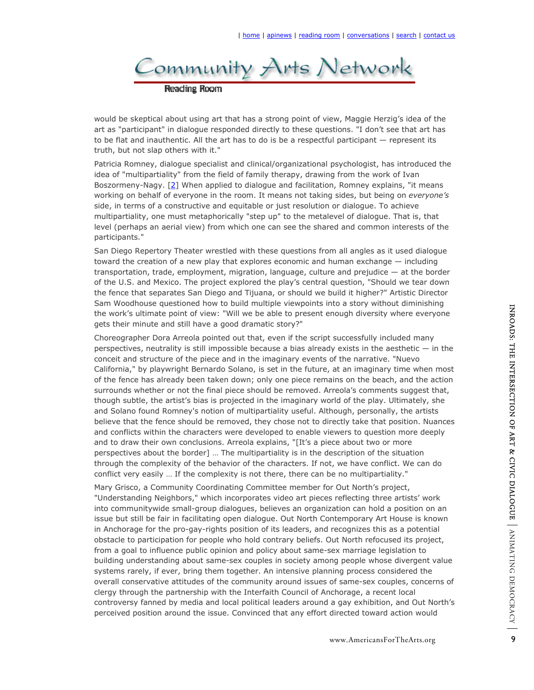

would be skeptical about using art that has a strong point of view, Maggie Herzig's idea of the art as "participant" in dialogue responded directly to these questions. "I don't see that art has to be flat and inauthentic. All the art has to do is be a respectful participant — represent its

truth, but not slap others with it."

Patricia Romney, dialogue specialist and clinical/organizational psychologist, has introduced the idea of "multipartiality" from the field of family therapy, drawing from the work of Ivan Boszormeny-Nagy. [2] When applied to dialogue and facilitation, Romney explains, "it means working on behalf of everyone in the room. It means not taking sides, but being on *everyone's*  side, in terms of a constructive and equitable or just resolution or dialogue. To achieve multipartiality, one must metaphorically "step up" to the metalevel of dialogue. That is, that level (perhaps an aerial view) from which one can see the shared and common interests of the participants."

San Diego Repertory Theater wrestled with these questions from all angles as it used dialogue toward the creation of a new play that explores economic and human exchange — including transportation, trade, employment, migration, language, culture and prejudice — at the border of the U.S. and Mexico. The project explored the play's central question, "Should we tear down the fence that separates San Diego and Tijuana, or should we build it higher?" Artistic Director Sam Woodhouse questioned how to build multiple viewpoints into a story without diminishing the work's ultimate point of view: "Will we be able to present enough diversity where everyone gets their minute and still have a good dramatic story?"

where everyone<br>successfully included many<br>y exists in the aesthetic — in the<br>of the narrative. "Nuevo<br>at an imaginary time when most<br>at an imaginary time when most<br>at an imaginary time when most<br>and of the play. Ultimately Choreographer Dora Arreola pointed out that, even if the script successfully included many perspectives, neutrality is still impossible because a bias already exists in the aesthetic — in the conceit and structure of the piece and in the imaginary events of the narrative. "Nuevo California," by playwright Bernardo Solano, is set in the future, at an imaginary time when most of the fence has already been taken down; only one piece remains on the beach, and the action surrounds whether or not the final piece should be removed. Arreola's comments suggest that, though subtle, the artist's bias is projected in the imaginary world of the play. Ultimately, she and Solano found Romney's notion of multipartiality useful. Although, personally, the artists believe that the fence should be removed, they chose not to directly take that position. Nuances and conflicts within the characters were developed to enable viewers to question more deeply and to draw their own conclusions. Arreola explains, "[It's a piece about two or more perspectives about the border] … The multipartiality is in the description of the situation through the complexity of the behavior of the characters. If not, we have conflict. We can do conflict very easily … If the complexity is not there, there can be no multipartiality."

Mary Grisco, a Community Coordinating Committee member for Out North's project, "Understanding Neighbors," which incorporates video art pieces reflecting three artists' work into communitywide small-group dialogues, believes an organization can hold a position on an issue but still be fair in facilitating open dialogue. Out North Contemporary Art House is known in Anchorage for the pro-gay-rights position of its leaders, and recognizes this as a potential obstacle to participation for people who hold contrary beliefs. Out North refocused its project, from a goal to influence public opinion and policy about same-sex marriage legislation to building understanding about same-sex couples in society among people whose divergent value systems rarely, if ever, bring them together. An intensive planning process considered the overall conservative attitudes of the community around issues of same-sex couples, concerns of clergy through the partnership with the Interfaith Council of Anchorage, a recent local controversy fanned by media and local political leaders around a gay exhibition, and Out North's perceived position around the issue. Convinced that any effort directed toward action would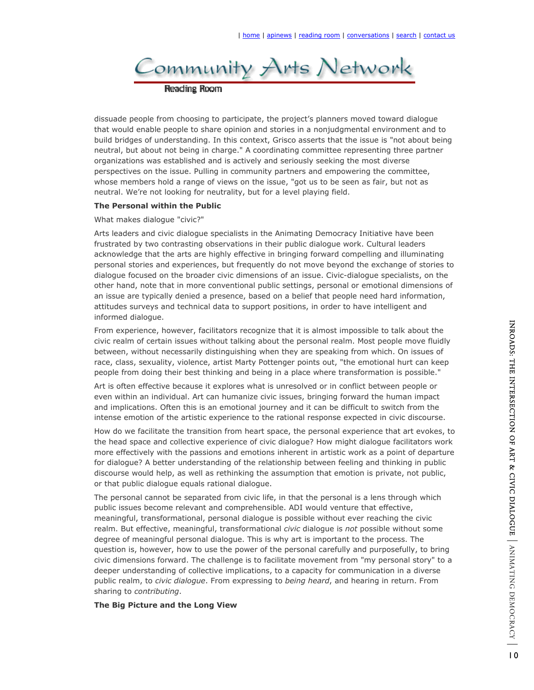

dissuade people from choosing to participate, the project's planners moved toward dialogue that would enable people to share opinion and stories in a nonjudgmental environment and to build bridges of understanding. In this context, Grisco asserts that the issue is "not about being neutral, but about not being in charge." A coordinating committee representing three partner organizations was established and is actively and seriously seeking the most diverse perspectives on the issue. Pulling in community partners and empowering the committee, whose members hold a range of views on the issue, "got us to be seen as fair, but not as neutral. We're not looking for neutrality, but for a level playing field.

## **The Personal within the Public**

#### What makes dialogue "civic?"

Arts leaders and civic dialogue specialists in the Animating Democracy Initiative have been frustrated by two contrasting observations in their public dialogue work. Cultural leaders acknowledge that the arts are highly effective in bringing forward compelling and illuminating personal stories and experiences, but frequently do not move beyond the exchange of stories to dialogue focused on the broader civic dimensions of an issue. Civic-dialogue specialists, on the other hand, note that in more conventional public settings, personal or emotional dimensions of an issue are typically denied a presence, based on a belief that people need hard information, attitudes surveys and technical data to support positions, in order to have intelligent and informed dialogue.

From experience, however, facilitators recognize that it is almost impossible to talk about the civic realm of certain issues without talking about the personal realm. Most people move fluidly between, without necessarily distinguishing when they are speaking from which. On issues of race, class, sexuality, violence, artist Marty Pottenger points out, "the emotional hurt can keep people from doing their best thinking and being in a place where transformation is possible."

Art is often effective because it explores what is unresolved or in conflict between people or even within an individual. Art can humanize civic issues, bringing forward the human impact and implications. Often this is an emotional journey and it can be difficult to switch from the intense emotion of the artistic experience to the rational response expected in civic discourse.

How do we facilitate the transition from heart space, the personal experience that art evokes, to the head space and collective experience of civic dialogue? How might dialogue facilitators work more effectively with the passions and emotions inherent in artistic work as a point of departure for dialogue? A better understanding of the relationship between feeling and thinking in public discourse would help, as well as rethinking the assumption that emotion is private, not public, or that public dialogue equals rational dialogue.

The personal cannot be separated from civic life, in that the personal is a lens through which public issues become relevant and comprehensible. ADI would venture that effective, meaningful, transformational, personal dialogue is possible without ever reaching the civic realm. But effective, meaningful, transformational *civic* dialogue is *not* possible without some degree of meaningful personal dialogue. This is why art is important to the process. The question is, however, how to use the power of the personal carefully and purposefully, to bring civic dimensions forward. The challenge is to facilitate movement from "my personal story" to a deeper understanding of collective implications, to a capacity for communication in a diverse public realm, to *civic dialogue*. From expressing to *being heard*, and hearing in return. From sharing to *contributing*.

#### **The Big Picture and the Long View**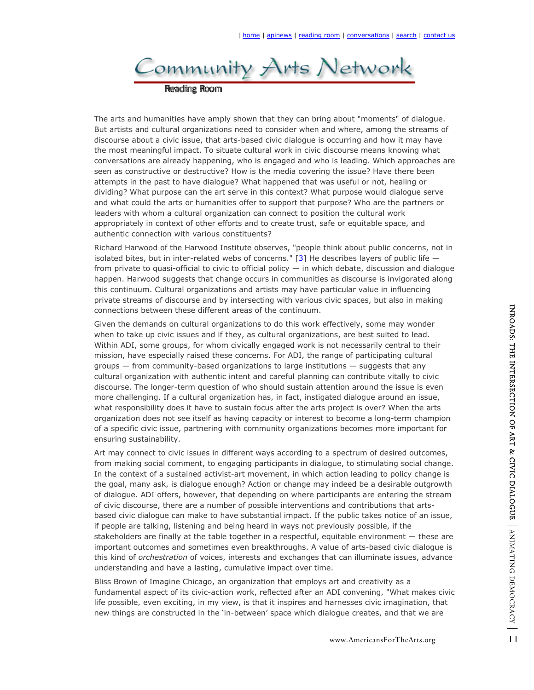

The arts and humanities have amply shown that they can bring about "moments" of dialogue. But artists and cultural organizations need to consider when and where, among the streams of discourse about a civic issue, that arts-based civic dialogue is occurring and how it may have the most meaningful impact. To situate cultural work in civic discourse means knowing what conversations are already happening, who is engaged and who is leading. Which approaches are seen as constructive or destructive? How is the media covering the issue? Have there been attempts in the past to have dialogue? What happened that was useful or not, healing or dividing? What purpose can the art serve in this context? What purpose would dialogue serve and what could the arts or humanities offer to support that purpose? Who are the partners or leaders with whom a cultural organization can connect to position the cultural work appropriately in context of other efforts and to create trust, safe or equitable space, and authentic connection with various constituents?

Richard Harwood of the Harwood Institute observes, "people think about public concerns, not in isolated bites, but in inter-related webs of concerns."  $[3]$  He describes layers of public life  $$ from private to quasi-official to civic to official policy — in which debate, discussion and dialogue happen. Harwood suggests that change occurs in communities as discourse is invigorated along this continuum. Cultural organizations and artists may have particular value in influencing private streams of discourse and by intersecting with various civic spaces, but also in making connections between these different areas of the continuum.

Given the demands on cultural organizations to do this work effectively, some may wonder when to take up civic issues and if they, as cultural organizations, are best suited to lead. Within ADI, some groups, for whom civically engaged work is not necessarily central to their mission, have especially raised these concerns. For ADI, the range of participating cultural groups — from community-based organizations to large institutions — suggests that any cultural organization with authentic intent and careful planning can contribute vitally to civic discourse. The longer-term question of who should sustain attention around the issue is even more challenging. If a cultural organization has, in fact, instigated dialogue around an issue, what responsibility does it have to sustain focus after the arts project is over? When the arts organization does not see itself as having capacity or interest to become a long-term champion of a specific civic issue, partnering with community organizations becomes more important for ensuring sustainability.

Fectively, some may wonder<br>
ns, are best suited to lead.<br>
not necessarily central to their<br>
mge of participating cultural<br>
tions — suggests that any<br>
can contribute vitally to civic<br>
ted dialogue around an insue,<br>
project Art may connect to civic issues in different ways according to a spectrum of desired outcomes, from making social comment, to engaging participants in dialogue, to stimulating social change. In the context of a sustained activist-art movement, in which action leading to policy change is the goal, many ask, is dialogue enough? Action or change may indeed be a desirable outgrowth of dialogue. ADI offers, however, that depending on where participants are entering the stream of civic discourse, there are a number of possible interventions and contributions that artsbased civic dialogue can make to have substantial impact. If the public takes notice of an issue, if people are talking, listening and being heard in ways not previously possible, if the stakeholders are finally at the table together in a respectful, equitable environment — these are important outcomes and sometimes even breakthroughs. A value of arts-based civic dialogue is this kind of *orchestration* of voices, interests and exchanges that can illuminate issues, advance understanding and have a lasting, cumulative impact over time.

Bliss Brown of Imagine Chicago, an organization that employs art and creativity as a fundamental aspect of its civic-action work, reflected after an ADI convening, "What makes civic life possible, even exciting, in my view, is that it inspires and harnesses civic imagination, that new things are constructed in the 'in-between' space which dialogue creates, and that we are